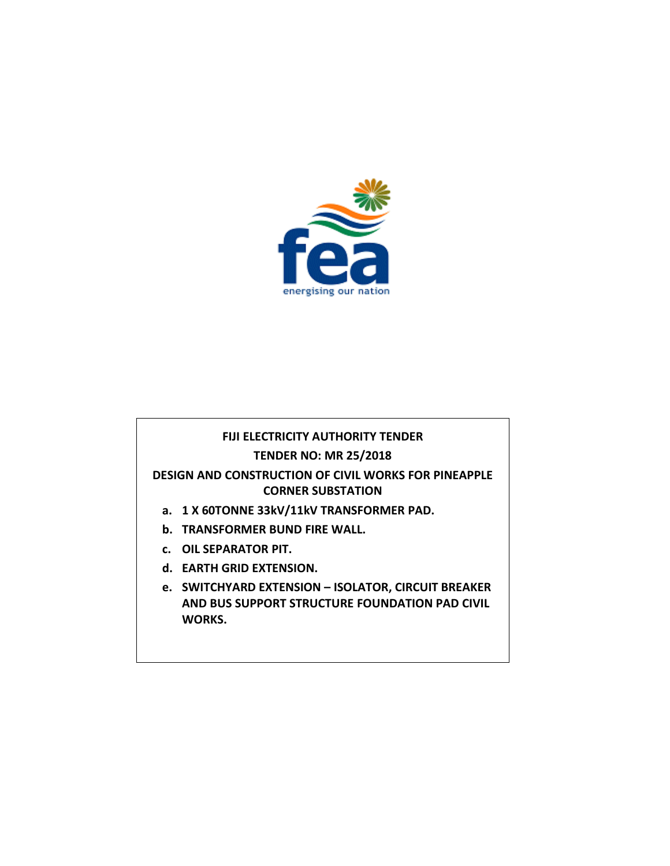

#### **FIJI ELECTRICITY AUTHORITY TENDER**

#### **TENDER NO: MR 25/2018**

### **DESIGN AND CONSTRUCTION OF CIVIL WORKS FOR PINEAPPLE CORNER SUBSTATION**

- **a. 1 X 60TONNE 33kV/11kV TRANSFORMER PAD.**
- **b. TRANSFORMER BUND FIRE WALL.**
- **c. OIL SEPARATOR PIT.**
- **d. EARTH GRID EXTENSION.**
- **e. SWITCHYARD EXTENSION – ISOLATOR, CIRCUIT BREAKER AND BUS SUPPORT STRUCTURE FOUNDATION PAD CIVIL WORKS.**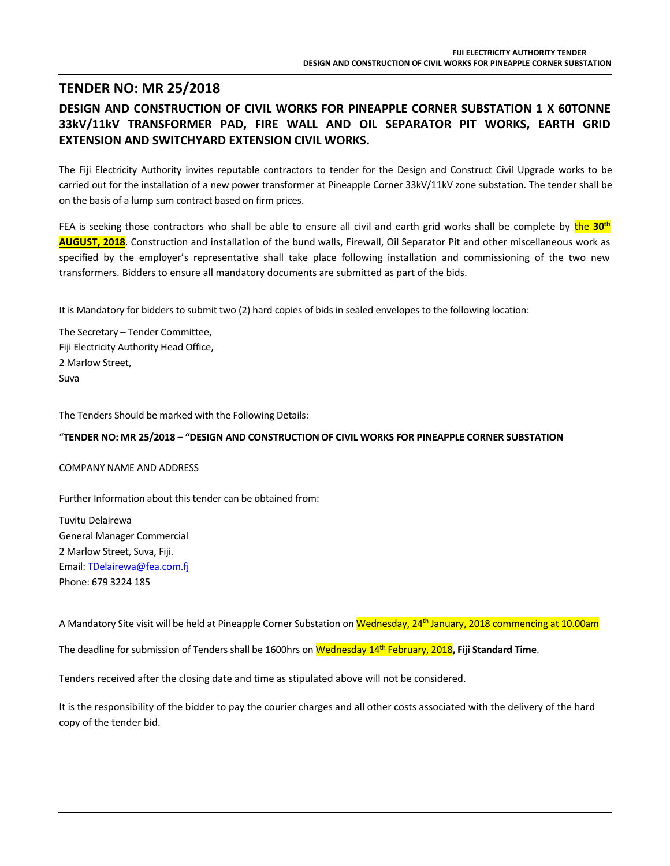## **TENDER NO: MR 25/2018**

### **DESIGN AND CONSTRUCTION OF CIVIL WORKS FOR PINEAPPLE CORNER SUBSTATION 1 X 60TONNE 33kV/11kV TRANSFORMER PAD, FIRE WALL AND OIL SEPARATOR PIT WORKS, EARTH GRID EXTENSION AND SWITCHYARD EXTENSION CIVIL WORKS.**

The Fiji Electricity Authority invites reputable contractors to tender for the Design and Construct Civil Upgrade works to be carried out for the installation of a new power transformer at Pineapple Corner 33kV/11kV zone substation. The tender shall be on the basis of a lump sum contract based on firm prices.

FEA is seeking those contractors who shall be able to ensure all civil and earth grid works shall be complete by the **30th AUGUST, 2018**. Construction and installation of the bund walls, Firewall, Oil Separator Pit and other miscellaneous work as specified by the employer's representative shall take place following installation and commissioning of the two new transformers. Bidders to ensure all mandatory documents are submitted as part of the bids.

It is Mandatory for bidders to submit two (2) hard copies of bids in sealed envelopes to the following location:

The Secretary – Tender Committee, Fiji Electricity Authority Head Office, 2 Marlow Street, Suva

The Tenders Should be marked with the Following Details:

#### "**TENDER NO: MR 25/2018 – "DESIGN AND CONSTRUCTION OF CIVIL WORKS FOR PINEAPPLE CORNER SUBSTATION**

#### COMPANY NAME AND ADDRESS

Further Information about this tender can be obtained from:

Tuvitu Delairewa General Manager Commercial 2 Marlow Street, Suva, Fiji. Email[: TDelairewa@fea.com.fj](mailto:TDelairewa@fea.com.fj) Phone: 679 3224 185

A Mandatory Site visit will be held at Pineapple Corner Substation on Wednesday, 24<sup>th</sup> January, 2018 commencing at 10.00am

The deadline for submission of Tenders shall be 1600hrs on Wednesday 14th February, 2018**, Fiji Standard Time**.

Tenders received after the closing date and time as stipulated above will not be considered.

It is the responsibility of the bidder to pay the courier charges and all other costs associated with the delivery of the hard copy of the tender bid.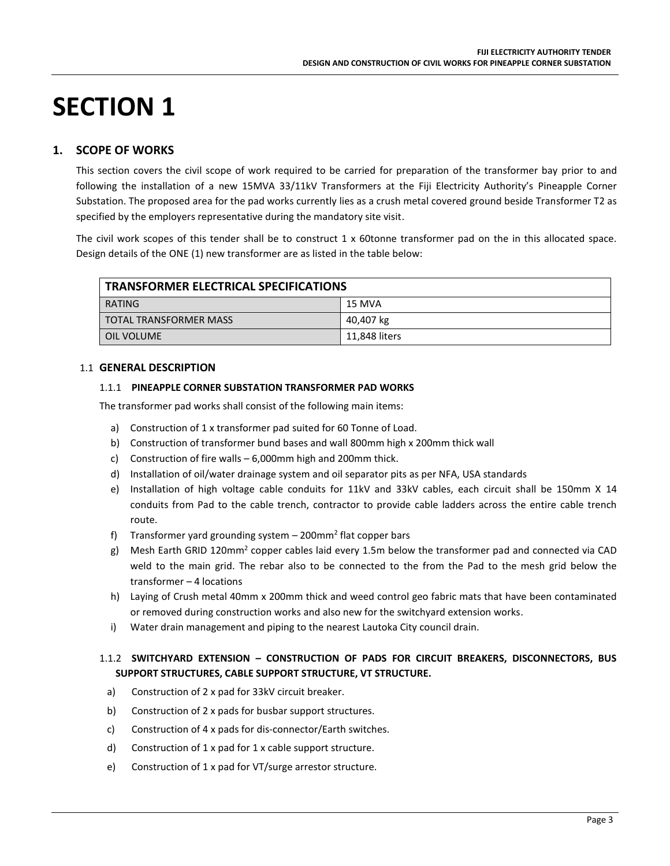# **SECTION 1**

### **1. SCOPE OF WORKS**

This section covers the civil scope of work required to be carried for preparation of the transformer bay prior to and following the installation of a new 15MVA 33/11kV Transformers at the Fiji Electricity Authority's Pineapple Corner Substation. The proposed area for the pad works currently lies as a crush metal covered ground beside Transformer T2 as specified by the employers representative during the mandatory site visit.

The civil work scopes of this tender shall be to construct 1 x 60tonne transformer pad on the in this allocated space. Design details of the ONE (1) new transformer are as listed in the table below:

| <b>TRANSFORMER ELECTRICAL SPECIFICATIONS</b> |               |  |
|----------------------------------------------|---------------|--|
| RATING                                       | 15 MVA        |  |
| <b>TOTAL TRANSFORMER MASS</b>                | 40,407 kg     |  |
| OIL VOLUME                                   | 11,848 liters |  |

#### 1.1 **GENERAL DESCRIPTION**

#### 1.1.1 **PINEAPPLE CORNER SUBSTATION TRANSFORMER PAD WORKS**

The transformer pad works shall consist of the following main items:

- a) Construction of 1 x transformer pad suited for 60 Tonne of Load.
- b) Construction of transformer bund bases and wall 800mm high x 200mm thick wall
- c) Construction of fire walls 6,000mm high and 200mm thick.
- d) Installation of oil/water drainage system and oil separator pits as per NFA, USA standards
- e) Installation of high voltage cable conduits for 11kV and 33kV cables, each circuit shall be 150mm X 14 conduits from Pad to the cable trench, contractor to provide cable ladders across the entire cable trench route.
- f) Transformer yard grounding system 200mm<sup>2</sup> flat copper bars
- g) Mesh Earth GRID 120mm<sup>2</sup> copper cables laid every 1.5m below the transformer pad and connected via CAD weld to the main grid. The rebar also to be connected to the from the Pad to the mesh grid below the transformer – 4 locations
- h) Laying of Crush metal 40mm x 200mm thick and weed control geo fabric mats that have been contaminated or removed during construction works and also new for the switchyard extension works.
- i) Water drain management and piping to the nearest Lautoka City council drain.

#### 1.1.2 **SWITCHYARD EXTENSION – CONSTRUCTION OF PADS FOR CIRCUIT BREAKERS, DISCONNECTORS, BUS SUPPORT STRUCTURES, CABLE SUPPORT STRUCTURE, VT STRUCTURE.**

- a) Construction of 2 x pad for 33kV circuit breaker.
- b) Construction of 2 x pads for busbar support structures.
- c) Construction of 4 x pads for dis-connector/Earth switches.
- d) Construction of 1 x pad for 1 x cable support structure.
- e) Construction of 1 x pad for VT/surge arrestor structure.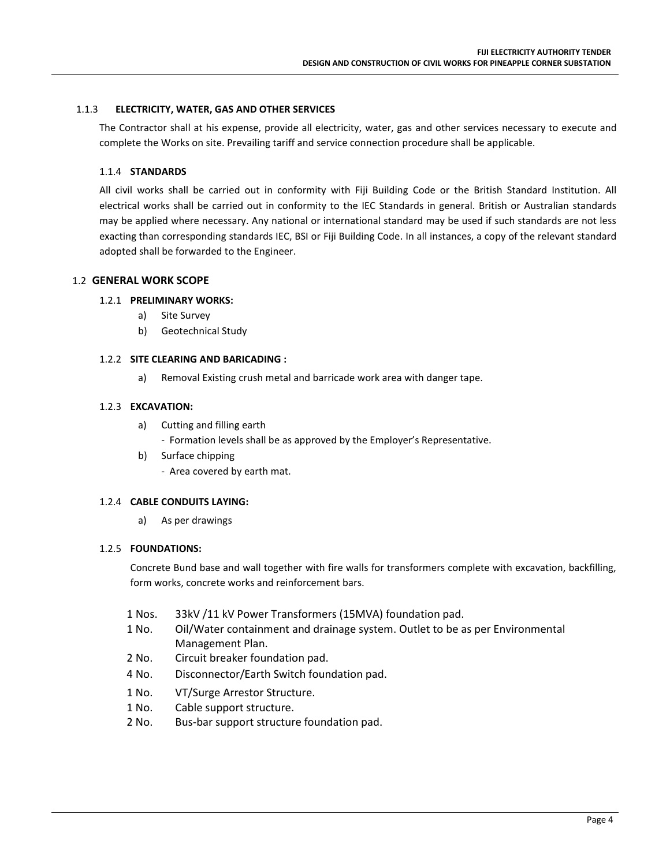#### 1.1.3 **ELECTRICITY, WATER, GAS AND OTHER SERVICES**

The Contractor shall at his expense, provide all electricity, water, gas and other services necessary to execute and complete the Works on site. Prevailing tariff and service connection procedure shall be applicable.

#### 1.1.4 **STANDARDS**

All civil works shall be carried out in conformity with Fiji Building Code or the British Standard Institution. All electrical works shall be carried out in conformity to the IEC Standards in general. British or Australian standards may be applied where necessary. Any national or international standard may be used if such standards are not less exacting than corresponding standards IEC, BSI or Fiji Building Code. In all instances, a copy of the relevant standard adopted shall be forwarded to the Engineer.

#### 1.2 **GENERAL WORK SCOPE**

#### 1.2.1 **PRELIMINARY WORKS:**

- a) Site Survey
- b) Geotechnical Study

#### 1.2.2 **SITE CLEARING AND BARICADING :**

a) Removal Existing crush metal and barricade work area with danger tape.

#### 1.2.3 **EXCAVATION:**

- a) Cutting and filling earth
	- Formation levels shall be as approved by the Employer's Representative.
- b) Surface chipping
	- Area covered by earth mat.

#### 1.2.4 **CABLE CONDUITS LAYING:**

a) As per drawings

#### 1.2.5 **FOUNDATIONS:**

Concrete Bund base and wall together with fire walls for transformers complete with excavation, backfilling, form works, concrete works and reinforcement bars.

- 1 Nos. 33kV /11 kV Power Transformers (15MVA) foundation pad.
- 1 No. Oil/Water containment and drainage system. Outlet to be as per Environmental Management Plan.
- 2 No. Circuit breaker foundation pad.
- 4 No. Disconnector/Earth Switch foundation pad.
- 1 No. VT/Surge Arrestor Structure.
- 1 No. Cable support structure.
- 2 No. Bus-bar support structure foundation pad.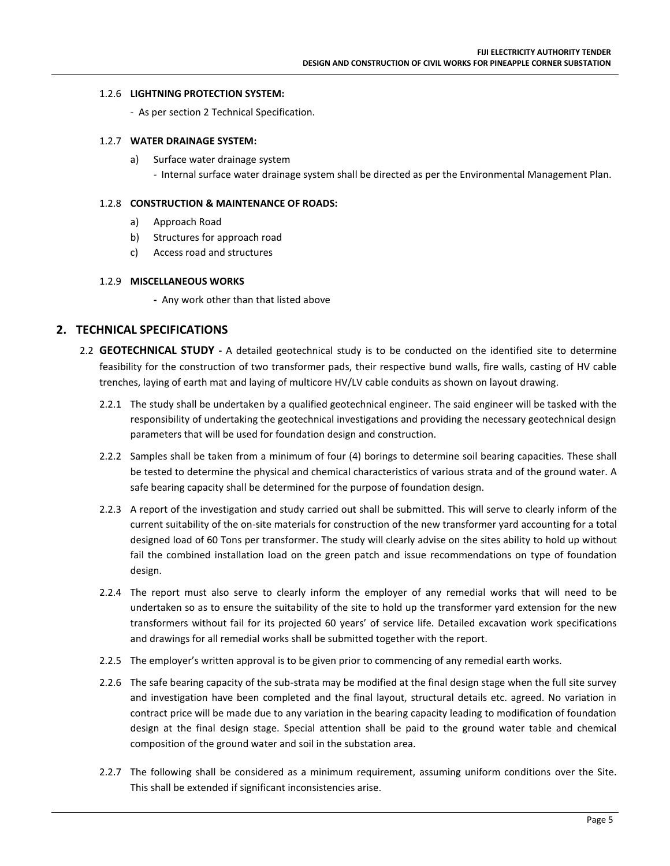#### 1.2.6 **LIGHTNING PROTECTION SYSTEM:**

- As per section 2 Technical Specification.

#### 1.2.7 **WATER DRAINAGE SYSTEM:**

a) Surface water drainage system - Internal surface water drainage system shall be directed as per the Environmental Management Plan.

#### 1.2.8 **CONSTRUCTION & MAINTENANCE OF ROADS:**

- a) Approach Road
- b) Structures for approach road
- c) Access road and structures

#### 1.2.9 **MISCELLANEOUS WORKS**

**-** Any work other than that listed above

#### **2. TECHNICAL SPECIFICATIONS**

- 2.2 **GEOTECHNICAL STUDY -** A detailed geotechnical study is to be conducted on the identified site to determine feasibility for the construction of two transformer pads, their respective bund walls, fire walls, casting of HV cable trenches, laying of earth mat and laying of multicore HV/LV cable conduits as shown on layout drawing.
	- 2.2.1 The study shall be undertaken by a qualified geotechnical engineer. The said engineer will be tasked with the responsibility of undertaking the geotechnical investigations and providing the necessary geotechnical design parameters that will be used for foundation design and construction.
	- 2.2.2 Samples shall be taken from a minimum of four (4) borings to determine soil bearing capacities. These shall be tested to determine the physical and chemical characteristics of various strata and of the ground water. A safe bearing capacity shall be determined for the purpose of foundation design.
	- 2.2.3 A report of the investigation and study carried out shall be submitted. This will serve to clearly inform of the current suitability of the on-site materials for construction of the new transformer yard accounting for a total designed load of 60 Tons per transformer. The study will clearly advise on the sites ability to hold up without fail the combined installation load on the green patch and issue recommendations on type of foundation design.
	- 2.2.4 The report must also serve to clearly inform the employer of any remedial works that will need to be undertaken so as to ensure the suitability of the site to hold up the transformer yard extension for the new transformers without fail for its projected 60 years' of service life. Detailed excavation work specifications and drawings for all remedial works shall be submitted together with the report.
	- 2.2.5 The employer's written approval is to be given prior to commencing of any remedial earth works.
	- 2.2.6 The safe bearing capacity of the sub-strata may be modified at the final design stage when the full site survey and investigation have been completed and the final layout, structural details etc. agreed. No variation in contract price will be made due to any variation in the bearing capacity leading to modification of foundation design at the final design stage. Special attention shall be paid to the ground water table and chemical composition of the ground water and soil in the substation area.
	- 2.2.7 The following shall be considered as a minimum requirement, assuming uniform conditions over the Site. This shall be extended if significant inconsistencies arise.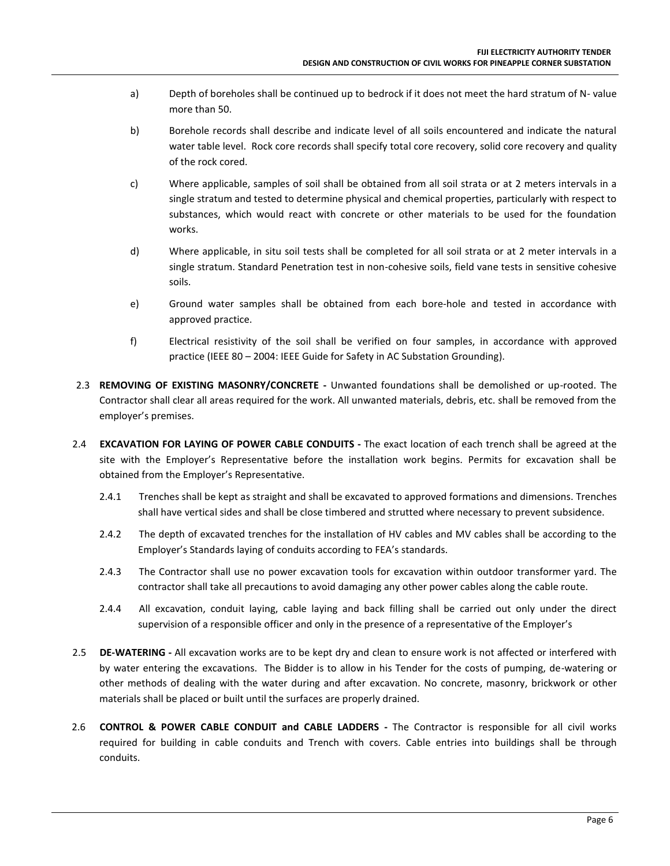- a) Depth of boreholes shall be continued up to bedrock if it does not meet the hard stratum of N- value more than 50.
- b) Borehole records shall describe and indicate level of all soils encountered and indicate the natural water table level. Rock core records shall specify total core recovery, solid core recovery and quality of the rock cored.
- c) Where applicable, samples of soil shall be obtained from all soil strata or at 2 meters intervals in a single stratum and tested to determine physical and chemical properties, particularly with respect to substances, which would react with concrete or other materials to be used for the foundation works.
- d) Where applicable, in situ soil tests shall be completed for all soil strata or at 2 meter intervals in a single stratum. Standard Penetration test in non-cohesive soils, field vane tests in sensitive cohesive soils.
- e) Ground water samples shall be obtained from each bore-hole and tested in accordance with approved practice.
- f) Electrical resistivity of the soil shall be verified on four samples, in accordance with approved practice (IEEE 80 – 2004: IEEE Guide for Safety in AC Substation Grounding).
- 2.3 **REMOVING OF EXISTING MASONRY/CONCRETE -** Unwanted foundations shall be demolished or up-rooted. The Contractor shall clear all areas required for the work. All unwanted materials, debris, etc. shall be removed from the employer's premises.
- 2.4 **EXCAVATION FOR LAYING OF POWER CABLE CONDUITS -** The exact location of each trench shall be agreed at the site with the Employer's Representative before the installation work begins. Permits for excavation shall be obtained from the Employer's Representative.
	- 2.4.1 Trenches shall be kept as straight and shall be excavated to approved formations and dimensions. Trenches shall have vertical sides and shall be close timbered and strutted where necessary to prevent subsidence.
	- 2.4.2 The depth of excavated trenches for the installation of HV cables and MV cables shall be according to the Employer's Standards laying of conduits according to FEA's standards.
	- 2.4.3 The Contractor shall use no power excavation tools for excavation within outdoor transformer yard. The contractor shall take all precautions to avoid damaging any other power cables along the cable route.
	- 2.4.4 All excavation, conduit laying, cable laying and back filling shall be carried out only under the direct supervision of a responsible officer and only in the presence of a representative of the Employer's
- 2.5 **DE-WATERING -** All excavation works are to be kept dry and clean to ensure work is not affected or interfered with by water entering the excavations. The Bidder is to allow in his Tender for the costs of pumping, de-watering or other methods of dealing with the water during and after excavation. No concrete, masonry, brickwork or other materials shall be placed or built until the surfaces are properly drained.
- 2.6 **CONTROL & POWER CABLE CONDUIT and CABLE LADDERS -** The Contractor is responsible for all civil works required for building in cable conduits and Trench with covers. Cable entries into buildings shall be through conduits.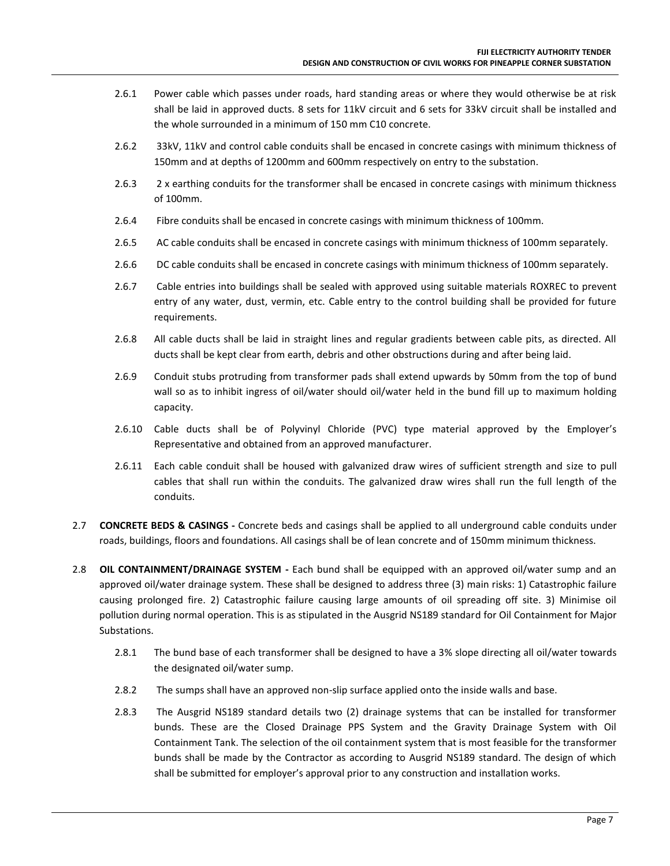- 2.6.1 Power cable which passes under roads, hard standing areas or where they would otherwise be at risk shall be laid in approved ducts. 8 sets for 11kV circuit and 6 sets for 33kV circuit shall be installed and the whole surrounded in a minimum of 150 mm C10 concrete.
- 2.6.2 33kV, 11kV and control cable conduits shall be encased in concrete casings with minimum thickness of 150mm and at depths of 1200mm and 600mm respectively on entry to the substation.
- 2.6.3 2 x earthing conduits for the transformer shall be encased in concrete casings with minimum thickness of 100mm.
- 2.6.4 Fibre conduits shall be encased in concrete casings with minimum thickness of 100mm.
- 2.6.5 AC cable conduits shall be encased in concrete casings with minimum thickness of 100mm separately.
- 2.6.6 DC cable conduits shall be encased in concrete casings with minimum thickness of 100mm separately.
- 2.6.7 Cable entries into buildings shall be sealed with approved using suitable materials ROXREC to prevent entry of any water, dust, vermin, etc. Cable entry to the control building shall be provided for future requirements.
- 2.6.8 All cable ducts shall be laid in straight lines and regular gradients between cable pits, as directed. All ducts shall be kept clear from earth, debris and other obstructions during and after being laid.
- 2.6.9 Conduit stubs protruding from transformer pads shall extend upwards by 50mm from the top of bund wall so as to inhibit ingress of oil/water should oil/water held in the bund fill up to maximum holding capacity.
- 2.6.10 Cable ducts shall be of Polyvinyl Chloride (PVC) type material approved by the Employer's Representative and obtained from an approved manufacturer.
- 2.6.11 Each cable conduit shall be housed with galvanized draw wires of sufficient strength and size to pull cables that shall run within the conduits. The galvanized draw wires shall run the full length of the conduits.
- 2.7 **CONCRETE BEDS & CASINGS -** Concrete beds and casings shall be applied to all underground cable conduits under roads, buildings, floors and foundations. All casings shall be of lean concrete and of 150mm minimum thickness.
- 2.8 **OIL CONTAINMENT/DRAINAGE SYSTEM -** Each bund shall be equipped with an approved oil/water sump and an approved oil/water drainage system. These shall be designed to address three (3) main risks: 1) Catastrophic failure causing prolonged fire. 2) Catastrophic failure causing large amounts of oil spreading off site. 3) Minimise oil pollution during normal operation. This is as stipulated in the Ausgrid NS189 standard for Oil Containment for Major Substations.
	- 2.8.1 The bund base of each transformer shall be designed to have a 3% slope directing all oil/water towards the designated oil/water sump.
	- 2.8.2 The sumps shall have an approved non-slip surface applied onto the inside walls and base.
	- 2.8.3 The Ausgrid NS189 standard details two (2) drainage systems that can be installed for transformer bunds. These are the Closed Drainage PPS System and the Gravity Drainage System with Oil Containment Tank. The selection of the oil containment system that is most feasible for the transformer bunds shall be made by the Contractor as according to Ausgrid NS189 standard. The design of which shall be submitted for employer's approval prior to any construction and installation works.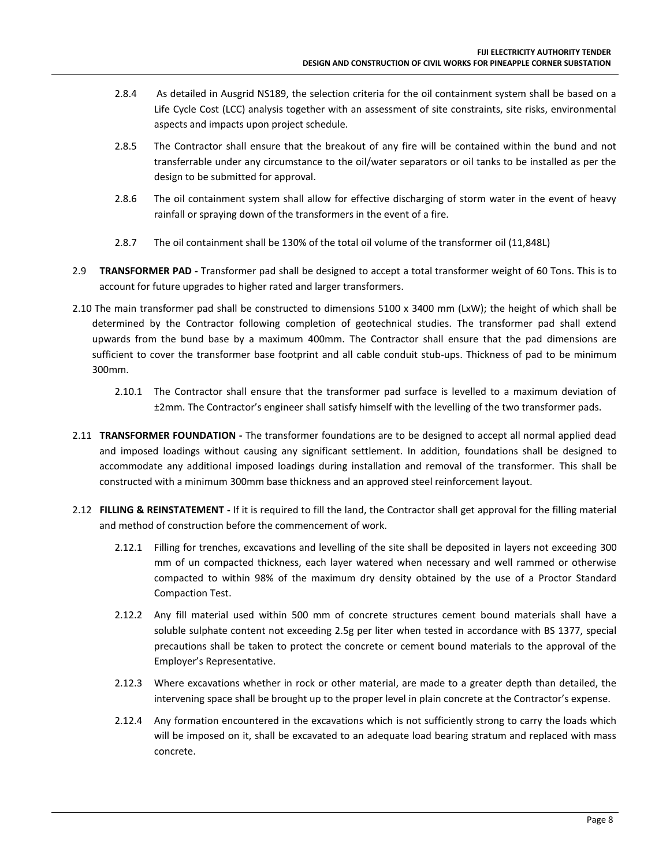- 2.8.4 As detailed in Ausgrid NS189, the selection criteria for the oil containment system shall be based on a Life Cycle Cost (LCC) analysis together with an assessment of site constraints, site risks, environmental aspects and impacts upon project schedule.
- 2.8.5 The Contractor shall ensure that the breakout of any fire will be contained within the bund and not transferrable under any circumstance to the oil/water separators or oil tanks to be installed as per the design to be submitted for approval.
- 2.8.6 The oil containment system shall allow for effective discharging of storm water in the event of heavy rainfall or spraying down of the transformers in the event of a fire.
- 2.8.7 The oil containment shall be 130% of the total oil volume of the transformer oil (11,848L)
- 2.9 **TRANSFORMER PAD -** Transformer pad shall be designed to accept a total transformer weight of 60 Tons. This is to account for future upgrades to higher rated and larger transformers.
- 2.10 The main transformer pad shall be constructed to dimensions 5100 x 3400 mm (LxW); the height of which shall be determined by the Contractor following completion of geotechnical studies. The transformer pad shall extend upwards from the bund base by a maximum 400mm. The Contractor shall ensure that the pad dimensions are sufficient to cover the transformer base footprint and all cable conduit stub-ups. Thickness of pad to be minimum 300mm.
	- 2.10.1 The Contractor shall ensure that the transformer pad surface is levelled to a maximum deviation of ±2mm. The Contractor's engineer shall satisfy himself with the levelling of the two transformer pads.
- 2.11 **TRANSFORMER FOUNDATION -** The transformer foundations are to be designed to accept all normal applied dead and imposed loadings without causing any significant settlement. In addition, foundations shall be designed to accommodate any additional imposed loadings during installation and removal of the transformer. This shall be constructed with a minimum 300mm base thickness and an approved steel reinforcement layout.
- 2.12 **FILLING & REINSTATEMENT -** If it is required to fill the land, the Contractor shall get approval for the filling material and method of construction before the commencement of work.
	- 2.12.1 Filling for trenches, excavations and levelling of the site shall be deposited in layers not exceeding 300 mm of un compacted thickness, each layer watered when necessary and well rammed or otherwise compacted to within 98% of the maximum dry density obtained by the use of a Proctor Standard Compaction Test.
	- 2.12.2 Any fill material used within 500 mm of concrete structures cement bound materials shall have a soluble sulphate content not exceeding 2.5g per liter when tested in accordance with BS 1377, special precautions shall be taken to protect the concrete or cement bound materials to the approval of the Employer's Representative.
	- 2.12.3 Where excavations whether in rock or other material, are made to a greater depth than detailed, the intervening space shall be brought up to the proper level in plain concrete at the Contractor's expense.
	- 2.12.4 Any formation encountered in the excavations which is not sufficiently strong to carry the loads which will be imposed on it, shall be excavated to an adequate load bearing stratum and replaced with mass concrete.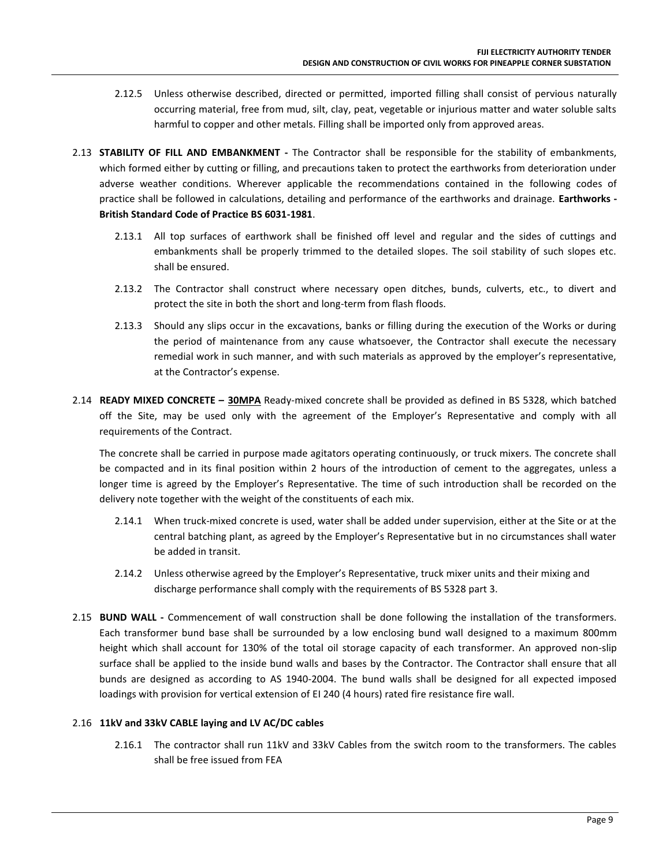- 2.12.5 Unless otherwise described, directed or permitted, imported filling shall consist of pervious naturally occurring material, free from mud, silt, clay, peat, vegetable or injurious matter and water soluble salts harmful to copper and other metals. Filling shall be imported only from approved areas.
- 2.13 **STABILITY OF FILL AND EMBANKMENT -** The Contractor shall be responsible for the stability of embankments, which formed either by cutting or filling, and precautions taken to protect the earthworks from deterioration under adverse weather conditions. Wherever applicable the recommendations contained in the following codes of practice shall be followed in calculations, detailing and performance of the earthworks and drainage. **Earthworks - British Standard Code of Practice BS 6031-1981**.
	- 2.13.1 All top surfaces of earthwork shall be finished off level and regular and the sides of cuttings and embankments shall be properly trimmed to the detailed slopes. The soil stability of such slopes etc. shall be ensured.
	- 2.13.2 The Contractor shall construct where necessary open ditches, bunds, culverts, etc., to divert and protect the site in both the short and long-term from flash floods.
	- 2.13.3 Should any slips occur in the excavations, banks or filling during the execution of the Works or during the period of maintenance from any cause whatsoever, the Contractor shall execute the necessary remedial work in such manner, and with such materials as approved by the employer's representative, at the Contractor's expense.
- 2.14 **READY MIXED CONCRETE – 30MPA** Ready-mixed concrete shall be provided as defined in BS 5328, which batched off the Site, may be used only with the agreement of the Employer's Representative and comply with all requirements of the Contract.

The concrete shall be carried in purpose made agitators operating continuously, or truck mixers. The concrete shall be compacted and in its final position within 2 hours of the introduction of cement to the aggregates, unless a longer time is agreed by the Employer's Representative. The time of such introduction shall be recorded on the delivery note together with the weight of the constituents of each mix.

- 2.14.1 When truck-mixed concrete is used, water shall be added under supervision, either at the Site or at the central batching plant, as agreed by the Employer's Representative but in no circumstances shall water be added in transit.
- 2.14.2 Unless otherwise agreed by the Employer's Representative, truck mixer units and their mixing and discharge performance shall comply with the requirements of BS 5328 part 3.
- 2.15 **BUND WALL -** Commencement of wall construction shall be done following the installation of the transformers. Each transformer bund base shall be surrounded by a low enclosing bund wall designed to a maximum 800mm height which shall account for 130% of the total oil storage capacity of each transformer. An approved non-slip surface shall be applied to the inside bund walls and bases by the Contractor. The Contractor shall ensure that all bunds are designed as according to AS 1940-2004. The bund walls shall be designed for all expected imposed loadings with provision for vertical extension of EI 240 (4 hours) rated fire resistance fire wall.

#### 2.16 **11kV and 33kV CABLE laying and LV AC/DC cables**

2.16.1 The contractor shall run 11kV and 33kV Cables from the switch room to the transformers. The cables shall be free issued from FEA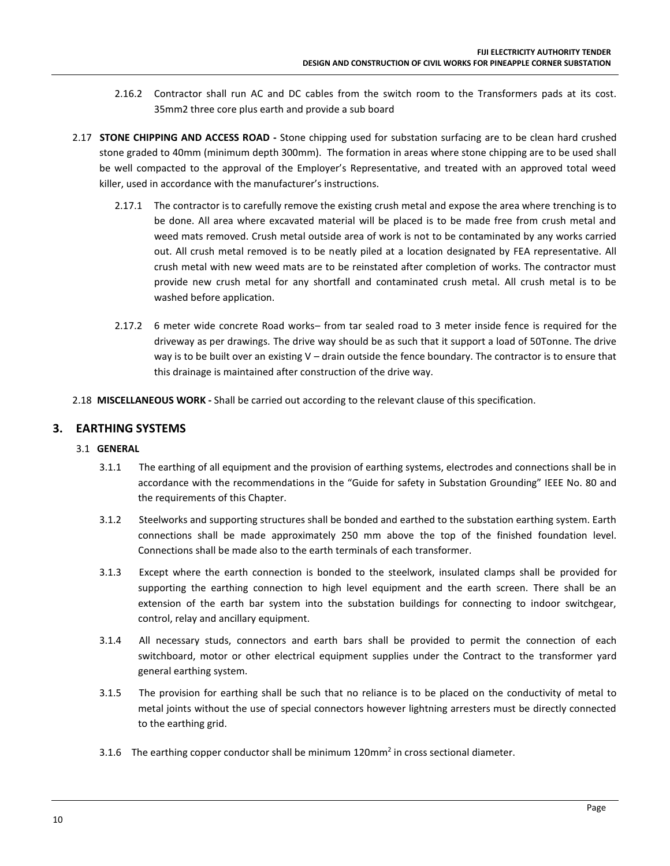- 2.16.2 Contractor shall run AC and DC cables from the switch room to the Transformers pads at its cost. 35mm2 three core plus earth and provide a sub board
- 2.17 **STONE CHIPPING AND ACCESS ROAD -** Stone chipping used for substation surfacing are to be clean hard crushed stone graded to 40mm (minimum depth 300mm). The formation in areas where stone chipping are to be used shall be well compacted to the approval of the Employer's Representative, and treated with an approved total weed killer, used in accordance with the manufacturer's instructions.
	- 2.17.1 The contractor is to carefully remove the existing crush metal and expose the area where trenching is to be done. All area where excavated material will be placed is to be made free from crush metal and weed mats removed. Crush metal outside area of work is not to be contaminated by any works carried out. All crush metal removed is to be neatly piled at a location designated by FEA representative. All crush metal with new weed mats are to be reinstated after completion of works. The contractor must provide new crush metal for any shortfall and contaminated crush metal. All crush metal is to be washed before application.
	- 2.17.2 6 meter wide concrete Road works– from tar sealed road to 3 meter inside fence is required for the driveway as per drawings. The drive way should be as such that it support a load of 50Tonne. The drive way is to be built over an existing V – drain outside the fence boundary. The contractor is to ensure that this drainage is maintained after construction of the drive way.
- 2.18 **MISCELLANEOUS WORK -** Shall be carried out according to the relevant clause of this specification.

#### **3. EARTHING SYSTEMS**

- 3.1 **GENERAL** 
	- 3.1.1 The earthing of all equipment and the provision of earthing systems, electrodes and connections shall be in accordance with the recommendations in the "Guide for safety in Substation Grounding" IEEE No. 80 and the requirements of this Chapter.
	- 3.1.2 Steelworks and supporting structures shall be bonded and earthed to the substation earthing system. Earth connections shall be made approximately 250 mm above the top of the finished foundation level. Connections shall be made also to the earth terminals of each transformer.
	- 3.1.3 Except where the earth connection is bonded to the steelwork, insulated clamps shall be provided for supporting the earthing connection to high level equipment and the earth screen. There shall be an extension of the earth bar system into the substation buildings for connecting to indoor switchgear, control, relay and ancillary equipment.
	- 3.1.4 All necessary studs, connectors and earth bars shall be provided to permit the connection of each switchboard, motor or other electrical equipment supplies under the Contract to the transformer yard general earthing system.
	- 3.1.5 The provision for earthing shall be such that no reliance is to be placed on the conductivity of metal to metal joints without the use of special connectors however lightning arresters must be directly connected to the earthing grid.
	- 3.1.6 The earthing copper conductor shall be minimum 120mm<sup>2</sup> in cross sectional diameter.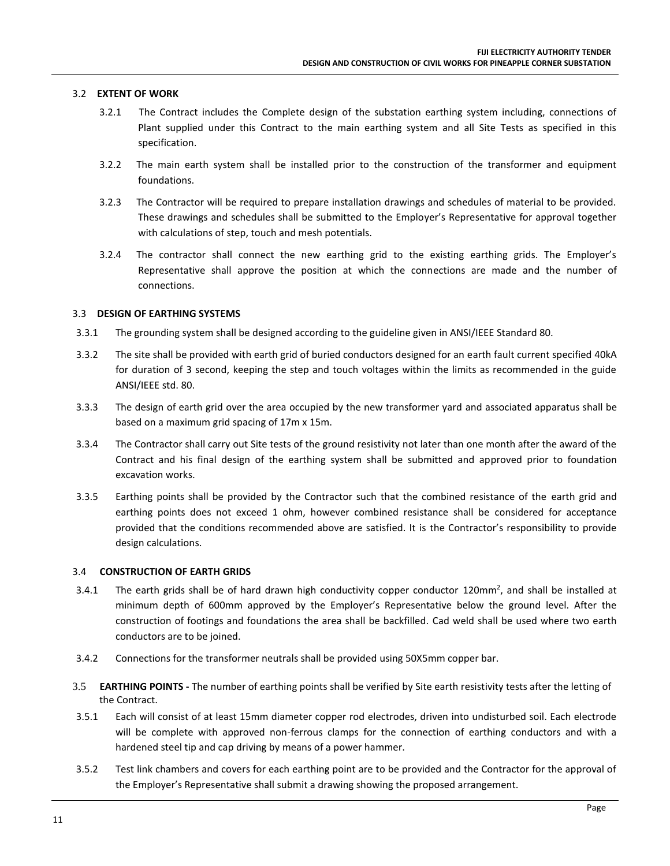#### 3.2 **EXTENT OF WORK**

- 3.2.1 The Contract includes the Complete design of the substation earthing system including, connections of Plant supplied under this Contract to the main earthing system and all Site Tests as specified in this specification.
- 3.2.2 The main earth system shall be installed prior to the construction of the transformer and equipment foundations.
- 3.2.3 The Contractor will be required to prepare installation drawings and schedules of material to be provided. These drawings and schedules shall be submitted to the Employer's Representative for approval together with calculations of step, touch and mesh potentials.
- 3.2.4 The contractor shall connect the new earthing grid to the existing earthing grids. The Employer's Representative shall approve the position at which the connections are made and the number of connections.

#### 3.3 **DESIGN OF EARTHING SYSTEMS**

- 3.3.1 The grounding system shall be designed according to the guideline given in ANSI/IEEE Standard 80.
- 3.3.2 The site shall be provided with earth grid of buried conductors designed for an earth fault current specified 40kA for duration of 3 second, keeping the step and touch voltages within the limits as recommended in the guide ANSI/IEEE std. 80.
- 3.3.3 The design of earth grid over the area occupied by the new transformer yard and associated apparatus shall be based on a maximum grid spacing of 17m x 15m.
- 3.3.4 The Contractor shall carry out Site tests of the ground resistivity not later than one month after the award of the Contract and his final design of the earthing system shall be submitted and approved prior to foundation excavation works.
- 3.3.5 Earthing points shall be provided by the Contractor such that the combined resistance of the earth grid and earthing points does not exceed 1 ohm, however combined resistance shall be considered for acceptance provided that the conditions recommended above are satisfied. It is the Contractor's responsibility to provide design calculations.

#### 3.4 **CONSTRUCTION OF EARTH GRIDS**

- 3.4.1 The earth grids shall be of hard drawn high conductivity copper conductor 120mm<sup>2</sup>, and shall be installed at minimum depth of 600mm approved by the Employer's Representative below the ground level. After the construction of footings and foundations the area shall be backfilled. Cad weld shall be used where two earth conductors are to be joined.
- 3.4.2 Connections for the transformer neutrals shall be provided using 50X5mm copper bar.
- 3.5 **EARTHING POINTS -** The number of earthing points shall be verified by Site earth resistivity tests after the letting of the Contract.
- 3.5.1 Each will consist of at least 15mm diameter copper rod electrodes, driven into undisturbed soil. Each electrode will be complete with approved non-ferrous clamps for the connection of earthing conductors and with a hardened steel tip and cap driving by means of a power hammer.
- 3.5.2 Test link chambers and covers for each earthing point are to be provided and the Contractor for the approval of the Employer's Representative shall submit a drawing showing the proposed arrangement.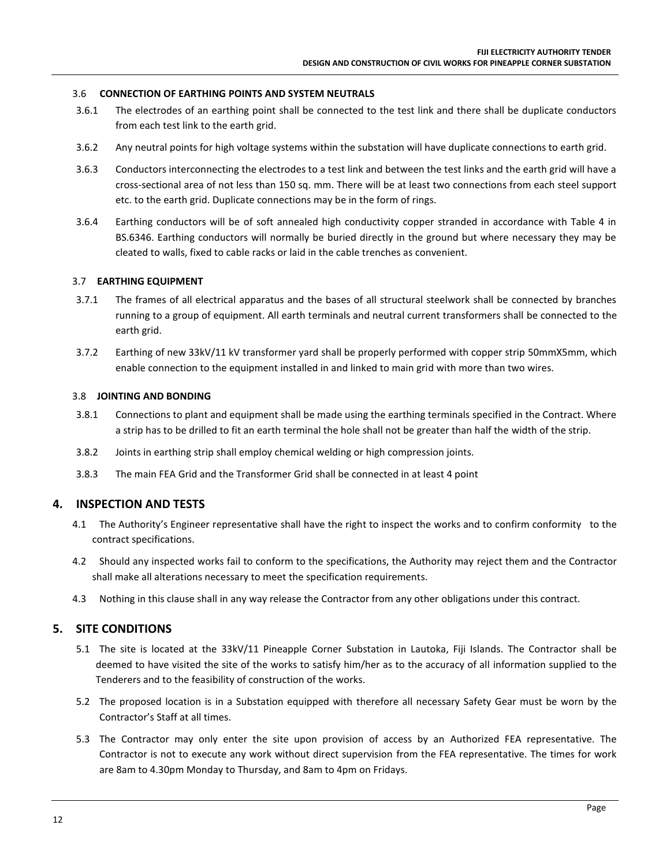#### 3.6 **CONNECTION OF EARTHING POINTS AND SYSTEM NEUTRALS**

- 3.6.1 The electrodes of an earthing point shall be connected to the test link and there shall be duplicate conductors from each test link to the earth grid.
- 3.6.2 Any neutral points for high voltage systems within the substation will have duplicate connections to earth grid.
- 3.6.3 Conductors interconnecting the electrodes to a test link and between the test links and the earth grid will have a cross-sectional area of not less than 150 sq. mm. There will be at least two connections from each steel support etc. to the earth grid. Duplicate connections may be in the form of rings.
- 3.6.4 Earthing conductors will be of soft annealed high conductivity copper stranded in accordance with Table 4 in BS.6346. Earthing conductors will normally be buried directly in the ground but where necessary they may be cleated to walls, fixed to cable racks or laid in the cable trenches as convenient.

#### 3.7 **EARTHING EQUIPMENT**

- 3.7.1 The frames of all electrical apparatus and the bases of all structural steelwork shall be connected by branches running to a group of equipment. All earth terminals and neutral current transformers shall be connected to the earth grid.
- 3.7.2 Earthing of new 33kV/11 kV transformer yard shall be properly performed with copper strip 50mmX5mm, which enable connection to the equipment installed in and linked to main grid with more than two wires.

#### 3.8 **JOINTING AND BONDING**

- 3.8.1 Connections to plant and equipment shall be made using the earthing terminals specified in the Contract. Where a strip has to be drilled to fit an earth terminal the hole shall not be greater than half the width of the strip.
- 3.8.2 Joints in earthing strip shall employ chemical welding or high compression joints.
- 3.8.3 The main FEA Grid and the Transformer Grid shall be connected in at least 4 point

#### **4. INSPECTION AND TESTS**

- 4.1 The Authority's Engineer representative shall have the right to inspect the works and to confirm conformity to the contract specifications.
- 4.2 Should any inspected works fail to conform to the specifications, the Authority may reject them and the Contractor shall make all alterations necessary to meet the specification requirements.
- 4.3 Nothing in this clause shall in any way release the Contractor from any other obligations under this contract.

#### **5. SITE CONDITIONS**

- 5.1 The site is located at the 33kV/11 Pineapple Corner Substation in Lautoka, Fiji Islands. The Contractor shall be deemed to have visited the site of the works to satisfy him/her as to the accuracy of all information supplied to the Tenderers and to the feasibility of construction of the works.
- 5.2 The proposed location is in a Substation equipped with therefore all necessary Safety Gear must be worn by the Contractor's Staff at all times.
- 5.3 The Contractor may only enter the site upon provision of access by an Authorized FEA representative. The Contractor is not to execute any work without direct supervision from the FEA representative. The times for work are 8am to 4.30pm Monday to Thursday, and 8am to 4pm on Fridays.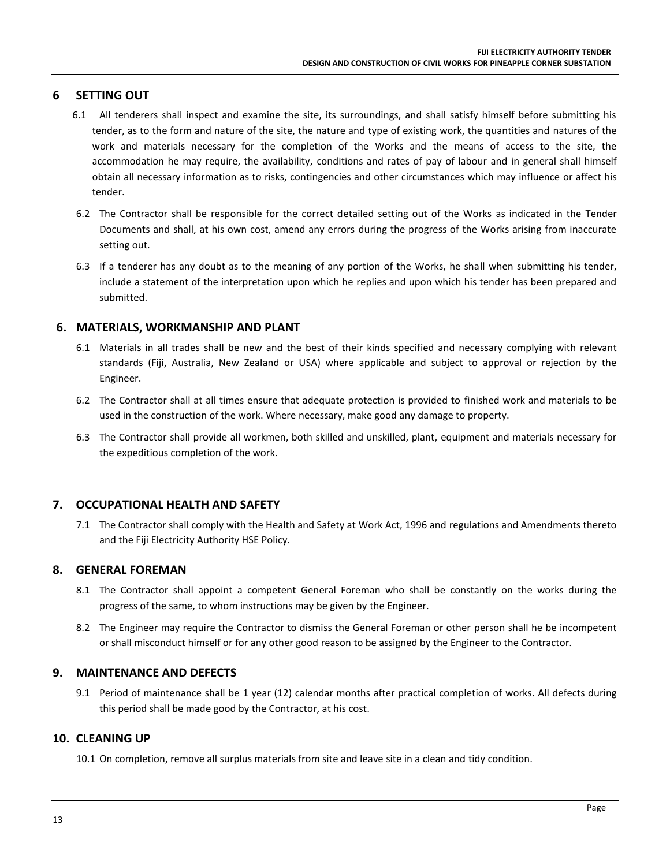#### **6 SETTING OUT**

- 6.1 All tenderers shall inspect and examine the site, its surroundings, and shall satisfy himself before submitting his tender, as to the form and nature of the site, the nature and type of existing work, the quantities and natures of the work and materials necessary for the completion of the Works and the means of access to the site, the accommodation he may require, the availability, conditions and rates of pay of labour and in general shall himself obtain all necessary information as to risks, contingencies and other circumstances which may influence or affect his tender.
- 6.2 The Contractor shall be responsible for the correct detailed setting out of the Works as indicated in the Tender Documents and shall, at his own cost, amend any errors during the progress of the Works arising from inaccurate setting out.
- 6.3 If a tenderer has any doubt as to the meaning of any portion of the Works, he shall when submitting his tender, include a statement of the interpretation upon which he replies and upon which his tender has been prepared and submitted.

#### **6. MATERIALS, WORKMANSHIP AND PLANT**

- 6.1 Materials in all trades shall be new and the best of their kinds specified and necessary complying with relevant standards (Fiji, Australia, New Zealand or USA) where applicable and subject to approval or rejection by the Engineer.
- 6.2 The Contractor shall at all times ensure that adequate protection is provided to finished work and materials to be used in the construction of the work. Where necessary, make good any damage to property.
- 6.3 The Contractor shall provide all workmen, both skilled and unskilled, plant, equipment and materials necessary for the expeditious completion of the work.

#### **7. OCCUPATIONAL HEALTH AND SAFETY**

7.1 The Contractor shall comply with the Health and Safety at Work Act, 1996 and regulations and Amendments thereto and the Fiji Electricity Authority HSE Policy.

#### **8. GENERAL FOREMAN**

- 8.1 The Contractor shall appoint a competent General Foreman who shall be constantly on the works during the progress of the same, to whom instructions may be given by the Engineer.
- 8.2 The Engineer may require the Contractor to dismiss the General Foreman or other person shall he be incompetent or shall misconduct himself or for any other good reason to be assigned by the Engineer to the Contractor.

#### **9. MAINTENANCE AND DEFECTS**

9.1 Period of maintenance shall be 1 year (12) calendar months after practical completion of works. All defects during this period shall be made good by the Contractor, at his cost.

#### **10. CLEANING UP**

10.1 On completion, remove all surplus materials from site and leave site in a clean and tidy condition.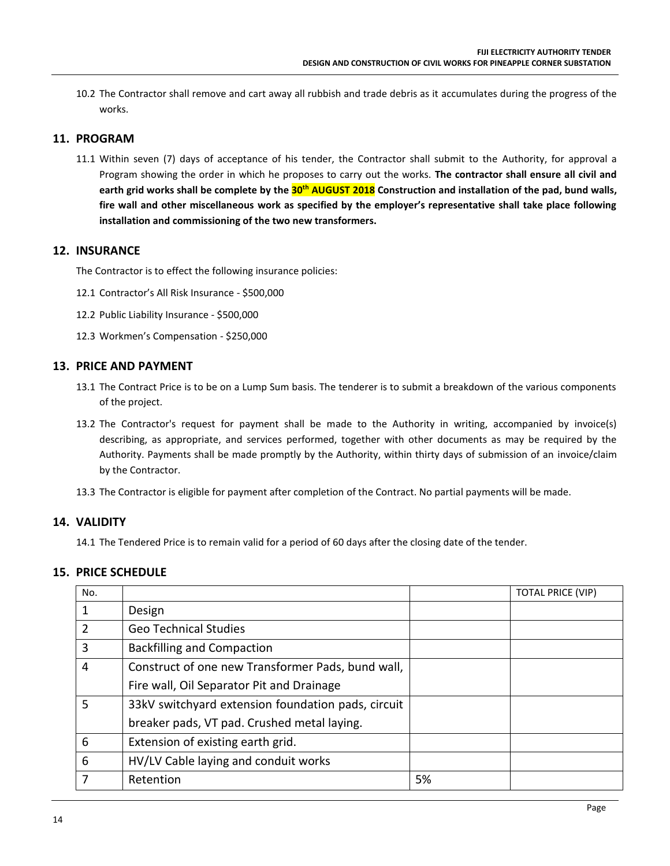10.2 The Contractor shall remove and cart away all rubbish and trade debris as it accumulates during the progress of the works.

#### **11. PROGRAM**

11.1 Within seven (7) days of acceptance of his tender, the Contractor shall submit to the Authority, for approval a Program showing the order in which he proposes to carry out the works. **The contractor shall ensure all civil and earth grid works shall be complete by the 30th AUGUST 2018 Construction and installation of the pad, bund walls, fire wall and other miscellaneous work as specified by the employer's representative shall take place following installation and commissioning of the two new transformers.**

#### **12. INSURANCE**

The Contractor is to effect the following insurance policies:

- 12.1 Contractor's All Risk Insurance \$500,000
- 12.2 Public Liability Insurance \$500,000
- 12.3 Workmen's Compensation \$250,000

#### **13. PRICE AND PAYMENT**

- 13.1 The Contract Price is to be on a Lump Sum basis. The tenderer is to submit a breakdown of the various components of the project.
- 13.2 The Contractor's request for payment shall be made to the Authority in writing, accompanied by invoice(s) describing, as appropriate, and services performed, together with other documents as may be required by the Authority. Payments shall be made promptly by the Authority, within thirty days of submission of an invoice/claim by the Contractor.
- 13.3 The Contractor is eligible for payment after completion of the Contract. No partial payments will be made.

#### **14. VALIDITY**

14.1 The Tendered Price is to remain valid for a period of 60 days after the closing date of the tender.

#### **15. PRICE SCHEDULE**

| No. |                                                    |    | <b>TOTAL PRICE (VIP)</b> |
|-----|----------------------------------------------------|----|--------------------------|
|     | Design                                             |    |                          |
| 2   | <b>Geo Technical Studies</b>                       |    |                          |
| 3   | <b>Backfilling and Compaction</b>                  |    |                          |
| 4   | Construct of one new Transformer Pads, bund wall,  |    |                          |
|     | Fire wall, Oil Separator Pit and Drainage          |    |                          |
| 5   | 33kV switchyard extension foundation pads, circuit |    |                          |
|     | breaker pads, VT pad. Crushed metal laying.        |    |                          |
| 6   | Extension of existing earth grid.                  |    |                          |
| 6   | HV/LV Cable laying and conduit works               |    |                          |
|     | Retention                                          | 5% |                          |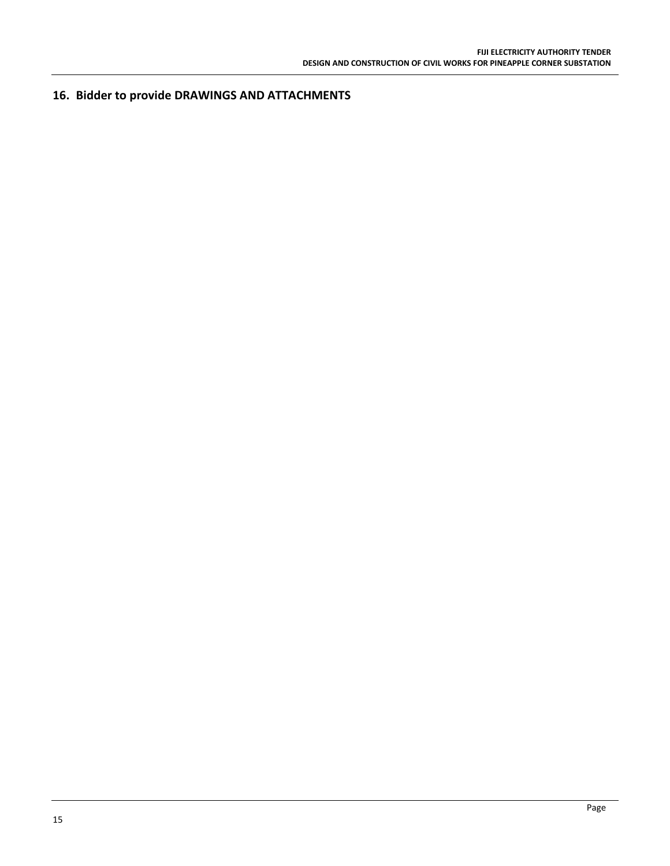**16. Bidder to provide DRAWINGS AND ATTACHMENTS**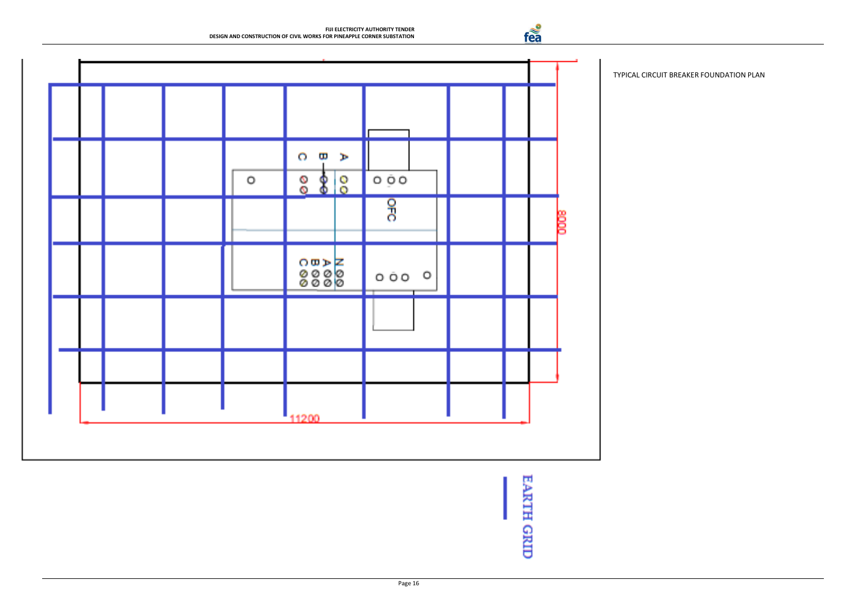fea



TYPICAL CIRCUIT BREAKER FOUNDATION PLAN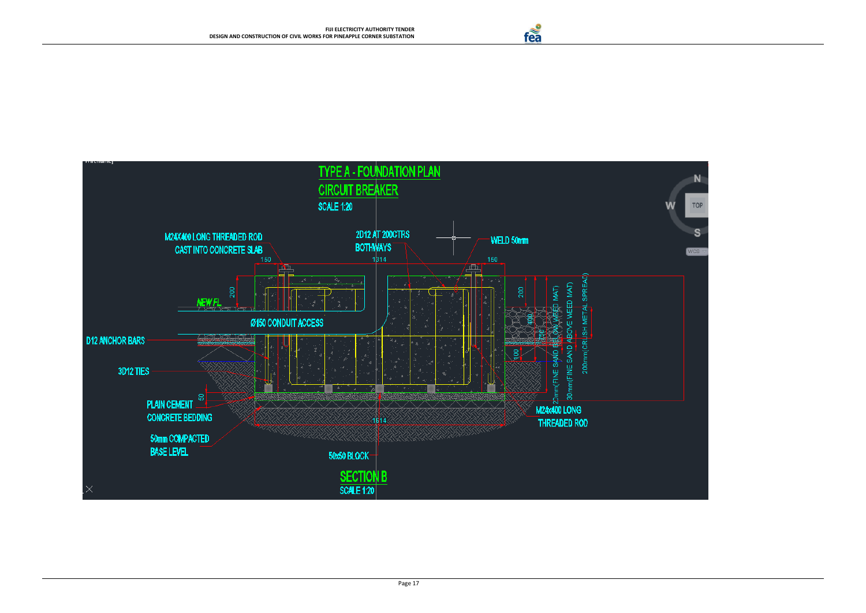fea





Page 17

# **TYPE A - FOUNDATION PLAN**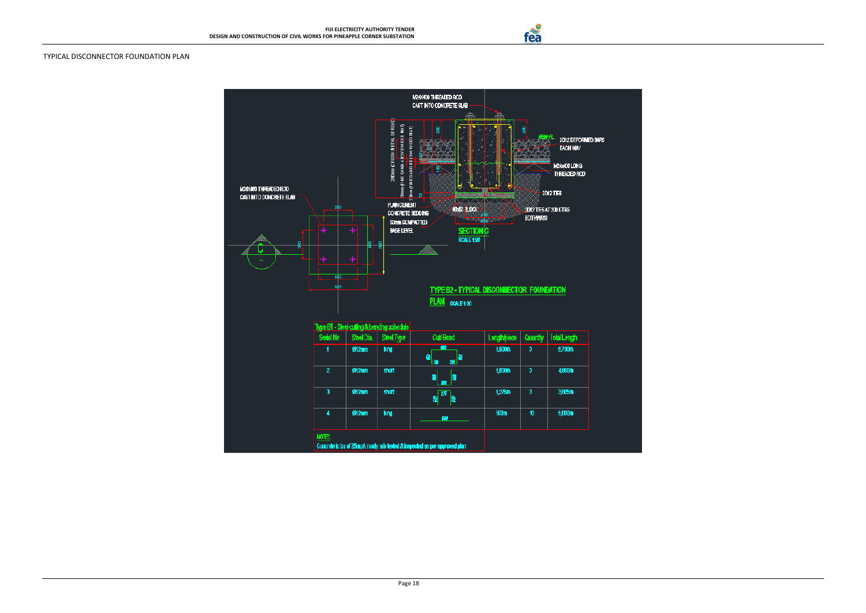fea

#### TYPICAL DISCONNECTOR FOUNDATION PLAN

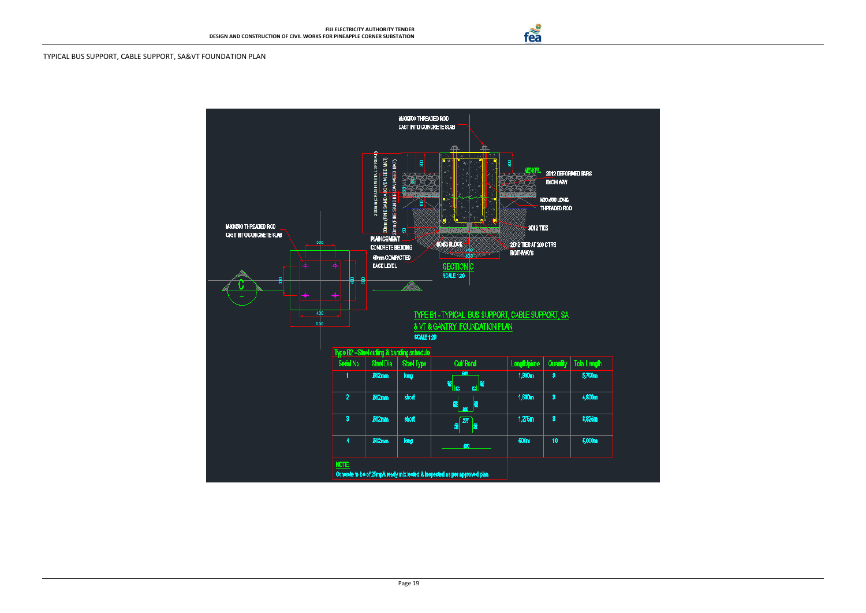

#### TYPICAL BUS SUPPORT, CABLE SUPPORT, SA&VT FOUNDATION PLAN



fea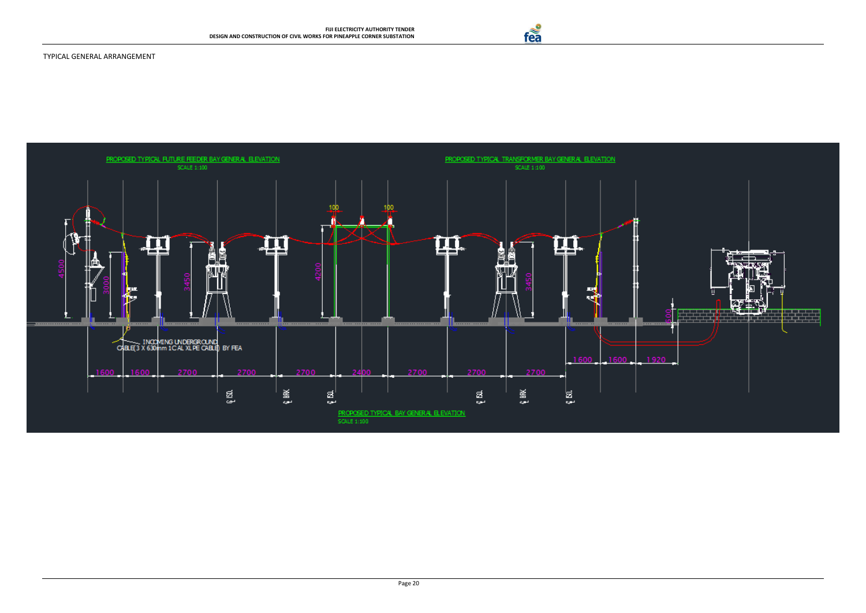





fea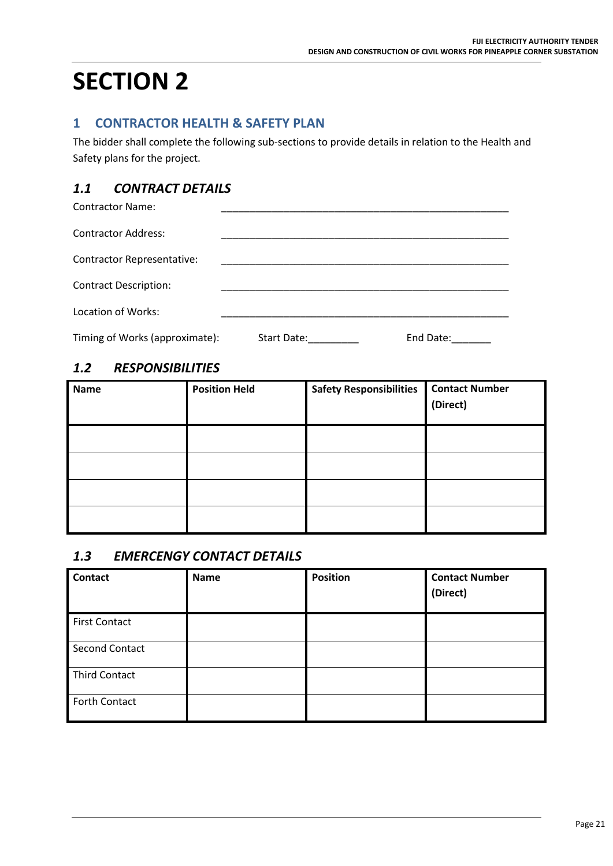# **SECTION 2**

## **1 CONTRACTOR HEALTH & SAFETY PLAN**

The bidder shall complete the following sub-sections to provide details in relation to the Health and Safety plans for the project.

# *1.1 CONTRACT DETAILS*

Contractor Name:

| <b>Contractor Address:</b>        |             |           |  |
|-----------------------------------|-------------|-----------|--|
| <b>Contractor Representative:</b> |             |           |  |
| <b>Contract Description:</b>      |             |           |  |
| Location of Works:                |             |           |  |
| Timing of Works (approximate):    | Start Date: | End Date: |  |

## *1.2 RESPONSIBILITIES*

| <b>Name</b> | <b>Position Held</b> | <b>Safety Responsibilities</b> | <b>Contact Number</b><br>(Direct) |
|-------------|----------------------|--------------------------------|-----------------------------------|
|             |                      |                                |                                   |
|             |                      |                                |                                   |
|             |                      |                                |                                   |
|             |                      |                                |                                   |

## *1.3 EMERCENGY CONTACT DETAILS*

| <b>Contact</b>        | Name | <b>Position</b> | <b>Contact Number</b><br>(Direct) |
|-----------------------|------|-----------------|-----------------------------------|
| <b>First Contact</b>  |      |                 |                                   |
| <b>Second Contact</b> |      |                 |                                   |
| <b>Third Contact</b>  |      |                 |                                   |
| Forth Contact         |      |                 |                                   |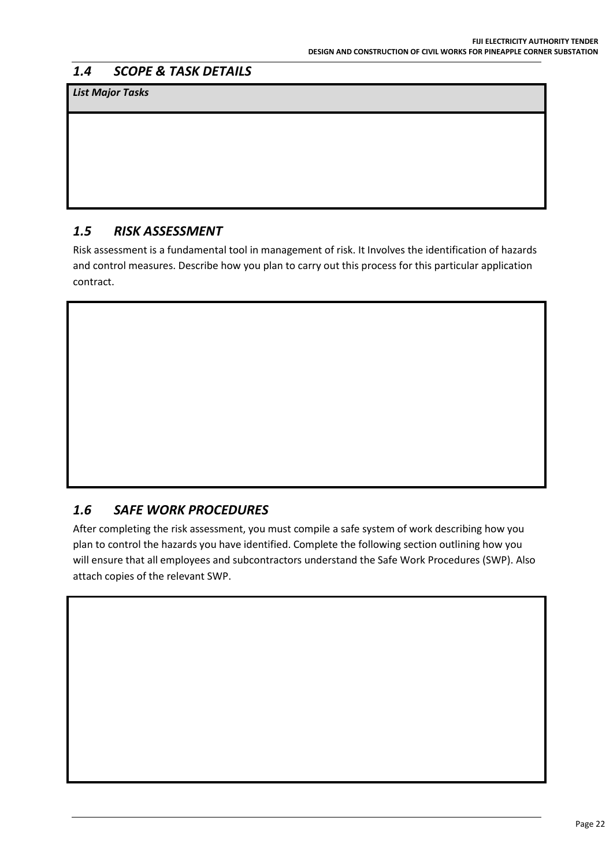## *1.4 SCOPE & TASK DETAILS*

*List Major Tasks*

## *1.5 RISK ASSESSMENT*

Risk assessment is a fundamental tool in management of risk. It Involves the identification of hazards and control measures. Describe how you plan to carry out this process for this particular application contract.

# *1.6 SAFE WORK PROCEDURES*

After completing the risk assessment, you must compile a safe system of work describing how you plan to control the hazards you have identified. Complete the following section outlining how you will ensure that all employees and subcontractors understand the Safe Work Procedures (SWP). Also attach copies of the relevant SWP.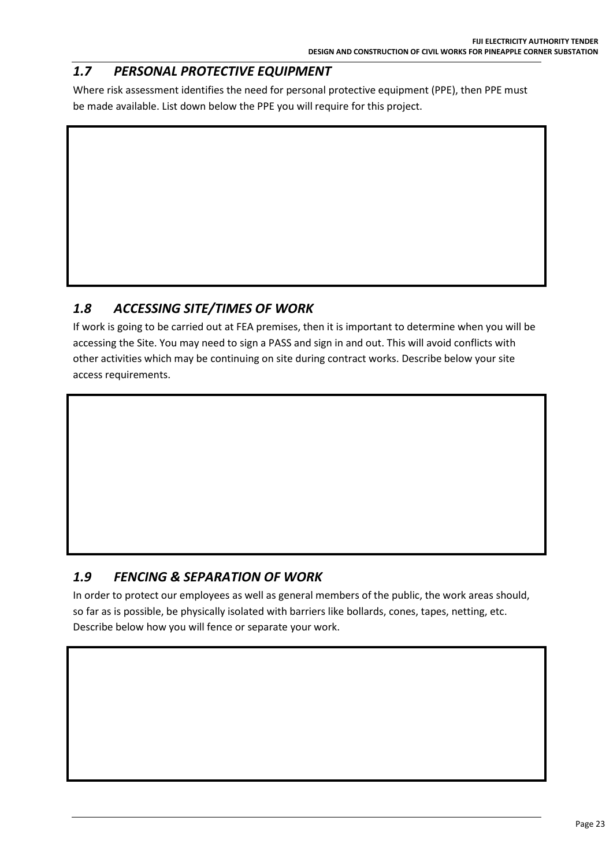# *1.7 PERSONAL PROTECTIVE EQUIPMENT*

Where risk assessment identifies the need for personal protective equipment (PPE), then PPE must be made available. List down below the PPE you will require for this project.

# *1.8 ACCESSING SITE/TIMES OF WORK*

If work is going to be carried out at FEA premises, then it is important to determine when you will be accessing the Site. You may need to sign a PASS and sign in and out. This will avoid conflicts with other activities which may be continuing on site during contract works. Describe below your site access requirements.

# *1.9 FENCING & SEPARATION OF WORK*

In order to protect our employees as well as general members of the public, the work areas should, so far as is possible, be physically isolated with barriers like bollards, cones, tapes, netting, etc. Describe below how you will fence or separate your work.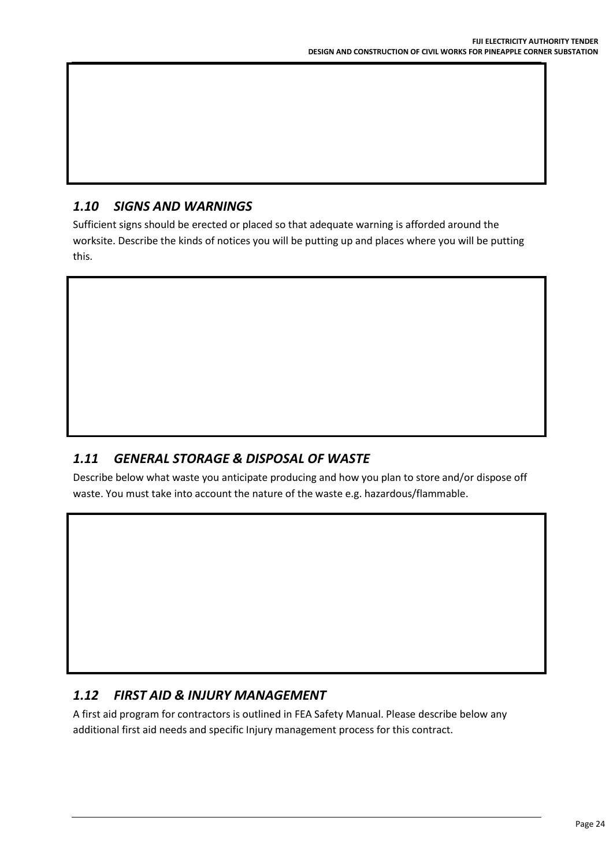# *1.10 SIGNS AND WARNINGS*

Sufficient signs should be erected or placed so that adequate warning is afforded around the worksite. Describe the kinds of notices you will be putting up and places where you will be putting this.

## *1.11 GENERAL STORAGE & DISPOSAL OF WASTE*

Describe below what waste you anticipate producing and how you plan to store and/or dispose off waste. You must take into account the nature of the waste e.g. hazardous/flammable.

## *1.12 FIRST AID & INJURY MANAGEMENT*

A first aid program for contractors is outlined in FEA Safety Manual. Please describe below any additional first aid needs and specific Injury management process for this contract.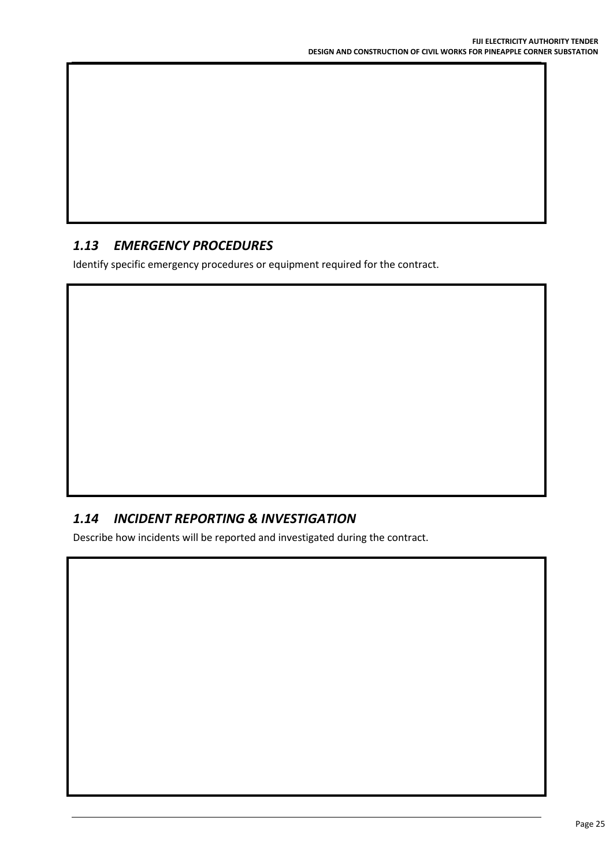## *1.13 EMERGENCY PROCEDURES*

Identify specific emergency procedures or equipment required for the contract.

## *1.14 INCIDENT REPORTING & INVESTIGATION*

Describe how incidents will be reported and investigated during the contract.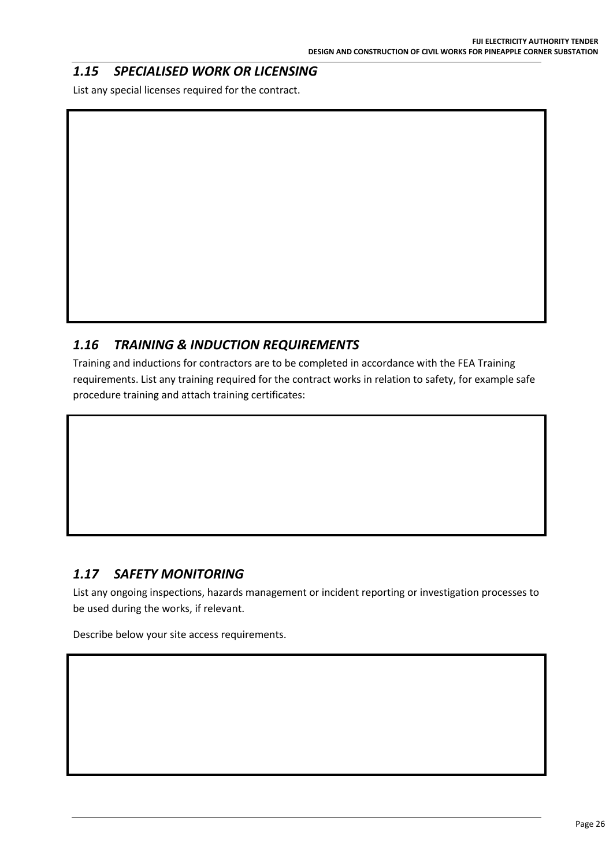# *1.15 SPECIALISED WORK OR LICENSING*

List any special licenses required for the contract.

# *1.16 TRAINING & INDUCTION REQUIREMENTS*

Training and inductions for contractors are to be completed in accordance with the FEA Training requirements. List any training required for the contract works in relation to safety, for example safe procedure training and attach training certificates:

## *1.17 SAFETY MONITORING*

List any ongoing inspections, hazards management or incident reporting or investigation processes to be used during the works, if relevant.

Describe below your site access requirements.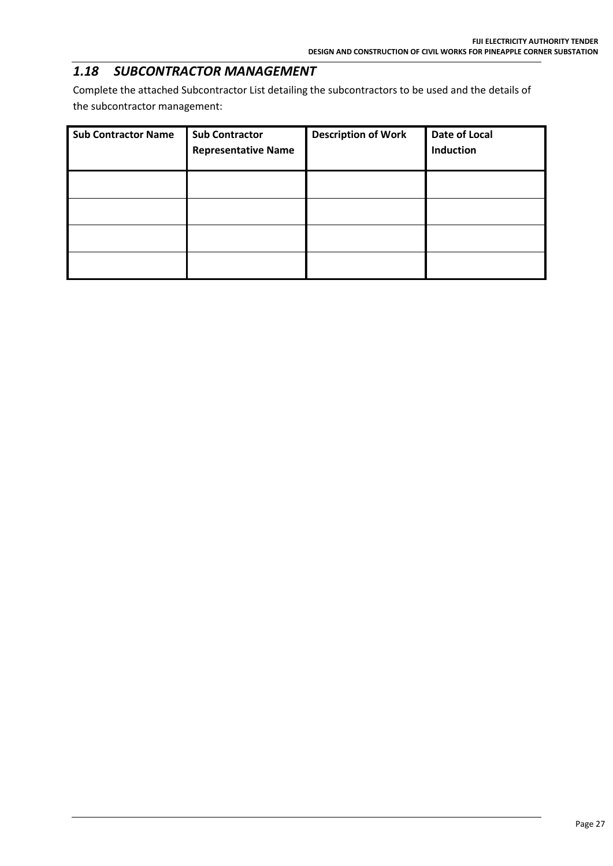## *1.18 SUBCONTRACTOR MANAGEMENT*

Complete the attached Subcontractor List detailing the subcontractors to be used and the details of the subcontractor management:

| <b>Sub Contractor Name</b> | <b>Sub Contractor</b><br><b>Representative Name</b> | <b>Description of Work</b> | Date of Local<br>Induction |
|----------------------------|-----------------------------------------------------|----------------------------|----------------------------|
|                            |                                                     |                            |                            |
|                            |                                                     |                            |                            |
|                            |                                                     |                            |                            |
|                            |                                                     |                            |                            |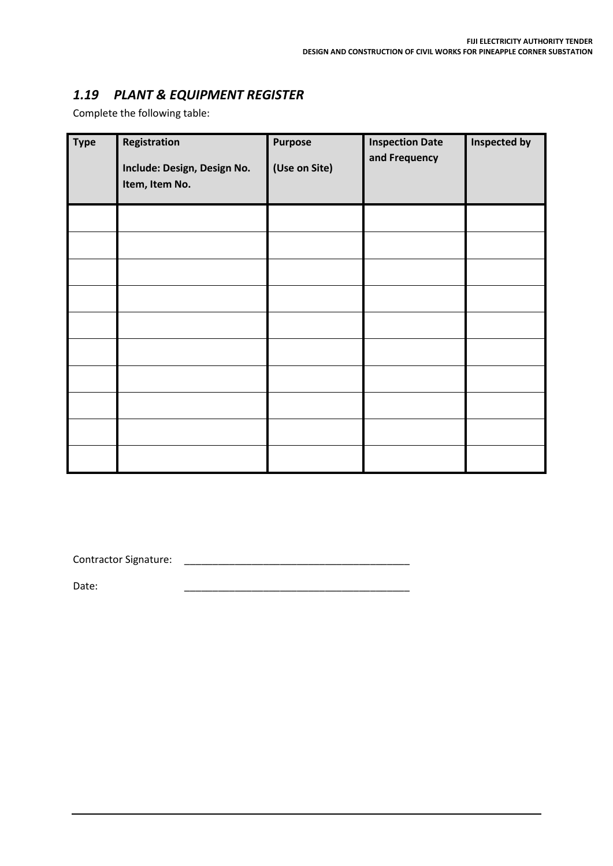## *1.19 PLANT & EQUIPMENT REGISTER*

Complete the following table:

| <b>Type</b> | Registration<br>Include: Design, Design No.<br>Item, Item No. | <b>Purpose</b><br>(Use on Site) | <b>Inspection Date</b><br>and Frequency | Inspected by |
|-------------|---------------------------------------------------------------|---------------------------------|-----------------------------------------|--------------|
|             |                                                               |                                 |                                         |              |
|             |                                                               |                                 |                                         |              |
|             |                                                               |                                 |                                         |              |
|             |                                                               |                                 |                                         |              |
|             |                                                               |                                 |                                         |              |
|             |                                                               |                                 |                                         |              |
|             |                                                               |                                 |                                         |              |
|             |                                                               |                                 |                                         |              |
|             |                                                               |                                 |                                         |              |
|             |                                                               |                                 |                                         |              |

Contractor Signature: \_\_\_\_\_\_\_\_\_\_\_\_\_\_\_\_\_\_\_\_\_\_\_\_\_\_\_\_\_\_\_\_\_\_\_\_\_\_\_\_

Date: \_\_\_\_\_\_\_\_\_\_\_\_\_\_\_\_\_\_\_\_\_\_\_\_\_\_\_\_\_\_\_\_\_\_\_\_\_\_\_\_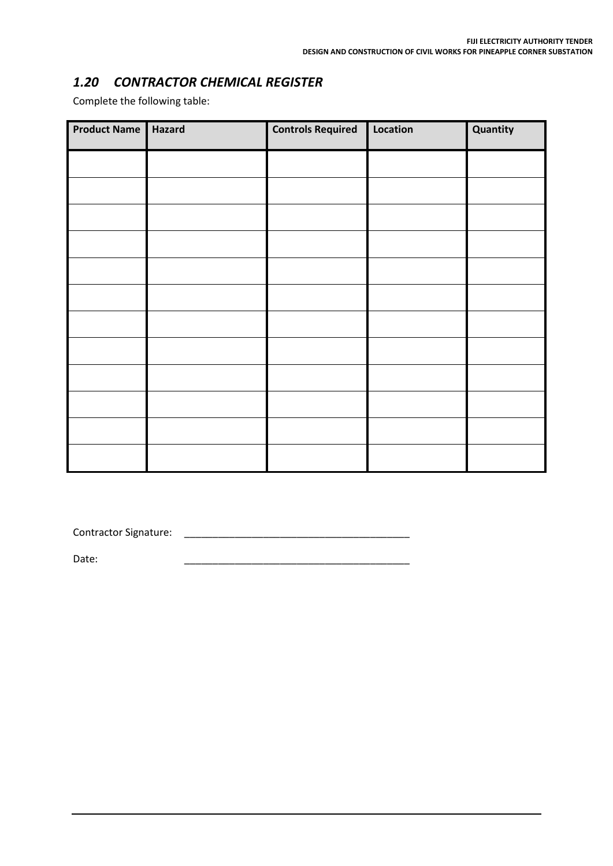## *1.20 CONTRACTOR CHEMICAL REGISTER*

Complete the following table:

| <b>Product Name</b> | Hazard | <b>Controls Required</b> | Location | Quantity |
|---------------------|--------|--------------------------|----------|----------|
|                     |        |                          |          |          |
|                     |        |                          |          |          |
|                     |        |                          |          |          |
|                     |        |                          |          |          |
|                     |        |                          |          |          |
|                     |        |                          |          |          |
|                     |        |                          |          |          |
|                     |        |                          |          |          |
|                     |        |                          |          |          |
|                     |        |                          |          |          |
|                     |        |                          |          |          |
|                     |        |                          |          |          |

Contractor Signature: \_\_\_\_\_\_\_\_\_\_\_\_\_\_\_\_\_\_\_\_\_\_\_\_\_\_\_\_\_\_\_\_\_\_\_\_\_\_\_\_

Date: \_\_\_\_\_\_\_\_\_\_\_\_\_\_\_\_\_\_\_\_\_\_\_\_\_\_\_\_\_\_\_\_\_\_\_\_\_\_\_\_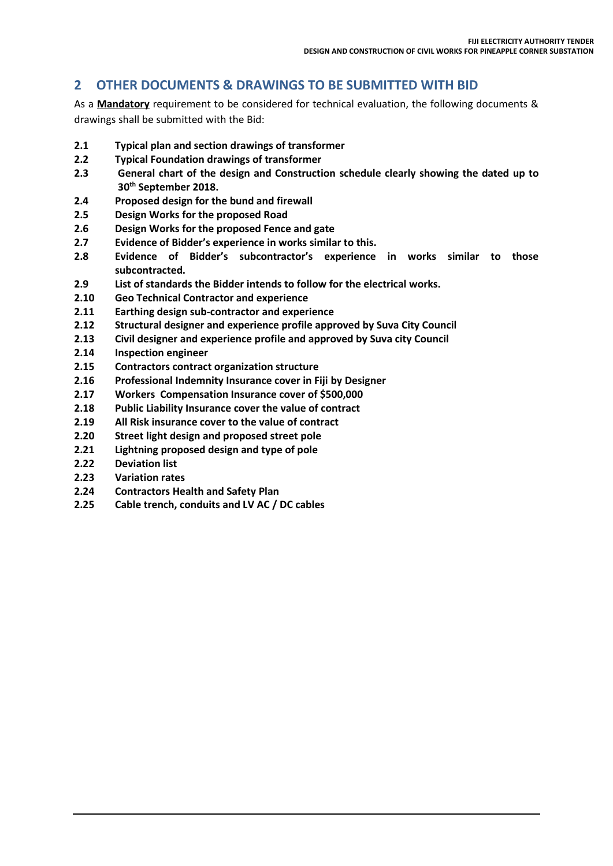## **2 OTHER DOCUMENTS & DRAWINGS TO BE SUBMITTED WITH BID**

As a **Mandatory** requirement to be considered for technical evaluation, the following documents & drawings shall be submitted with the Bid:

- **2.1 Typical plan and section drawings of transformer**
- **2.2 Typical Foundation drawings of transformer**
- **2.3 General chart of the design and Construction schedule clearly showing the dated up to 30th September 2018.**
- **2.4 Proposed design for the bund and firewall**
- **2.5 Design Works for the proposed Road**
- **2.6 Design Works for the proposed Fence and gate**
- **2.7 Evidence of Bidder's experience in works similar to this.**
- **2.8 Evidence of Bidder's subcontractor's experience in works similar to those subcontracted.**
- **2.9 List of standards the Bidder intends to follow for the electrical works.**
- **2.10 Geo Technical Contractor and experience**
- **2.11 Earthing design sub-contractor and experience**
- **2.12 Structural designer and experience profile approved by Suva City Council**
- **2.13 Civil designer and experience profile and approved by Suva city Council**
- **2.14 Inspection engineer**
- **2.15 Contractors contract organization structure**
- **2.16 Professional Indemnity Insurance cover in Fiji by Designer**
- **2.17 Workers Compensation Insurance cover of \$500,000**
- **2.18 Public Liability Insurance cover the value of contract**
- **2.19 All Risk insurance cover to the value of contract**
- **2.20 Street light design and proposed street pole**
- **2.21 Lightning proposed design and type of pole**
- **2.22 Deviation list**
- **2.23 Variation rates**
- **2.24 Contractors Health and Safety Plan**
- **2.25 Cable trench, conduits and LV AC / DC cables**